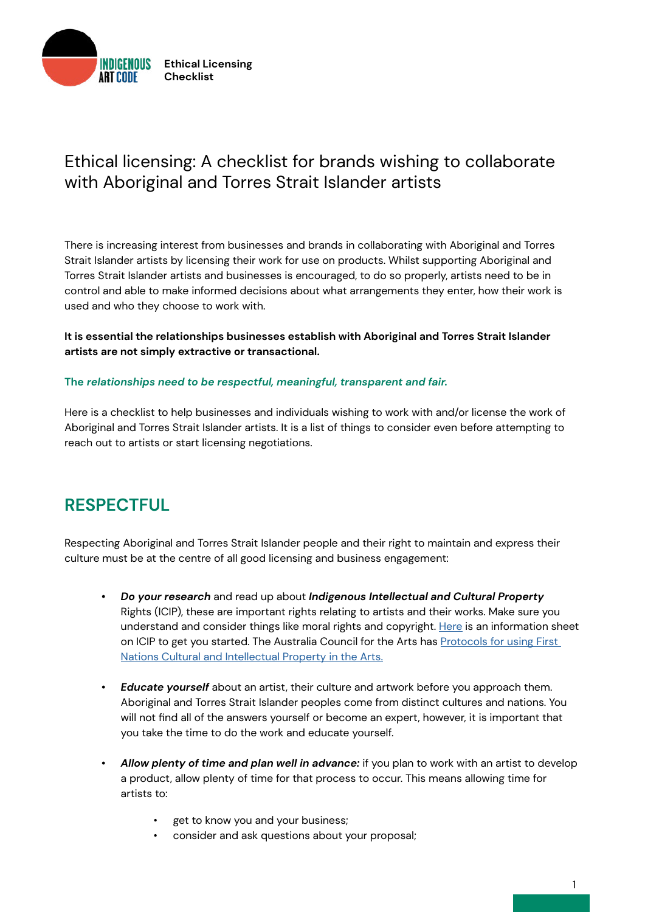

## Ethical licensing: A checklist for brands wishing to collaborate with Aboriginal and Torres Strait Islander artists

There is increasing interest from businesses and brands in collaborating with Aboriginal and Torres Strait Islander artists by licensing their work for use on products. Whilst supporting Aboriginal and Torres Strait Islander artists and businesses is encouraged, to do so properly, artists need to be in control and able to make informed decisions about what arrangements they enter, how their work is used and who they choose to work with.

**It is essential the relationships businesses establish with Aboriginal and Torres Strait Islander artists are not simply extractive or transactional.** 

#### **The** *relationships need to be respectful, meaningful, transparent and fair.*

Here is a checklist to help businesses and individuals wishing to work with and/or license the work of Aboriginal and Torres Strait Islander artists. It is a list of things to consider even before attempting to reach out to artists or start licensing negotiations.

### **RESPECTFUL**

Respecting Aboriginal and Torres Strait Islander people and their right to maintain and express their culture must be at the centre of all good licensing and business engagement:

- *• Do your research* and read up about *Indigenous Intellectual and Cultural Property*  Rights (ICIP), these are important rights relating to artists and their works. Make sure you understand and consider things like moral rights and copyright. [Here](https://www.artslaw.com.au/information-sheet/indigenous-cultural-intellectual-property-icip-aitb/) is an information sheet on ICIP to get you started. The Australia Council for the Arts has Protocols for using First [Nations Cultural and Intellectual Property in the Arts.](https://australiacouncil.gov.au/investment-and-development/protocols-and-resources/protocols-for-using-first-nations-cultural-and-intellectual-property-in-the-arts/)
- *• Educate yourself* about an artist, their culture and artwork before you approach them. Aboriginal and Torres Strait Islander peoples come from distinct cultures and nations. You will not find all of the answers yourself or become an expert, however, it is important that you take the time to do the work and educate yourself.
- *• Allow plenty of time and plan well in advance:* if you plan to work with an artist to develop a product, allow plenty of time for that process to occur. This means allowing time for artists to:
	- get to know you and your business;
	- consider and ask questions about your proposal;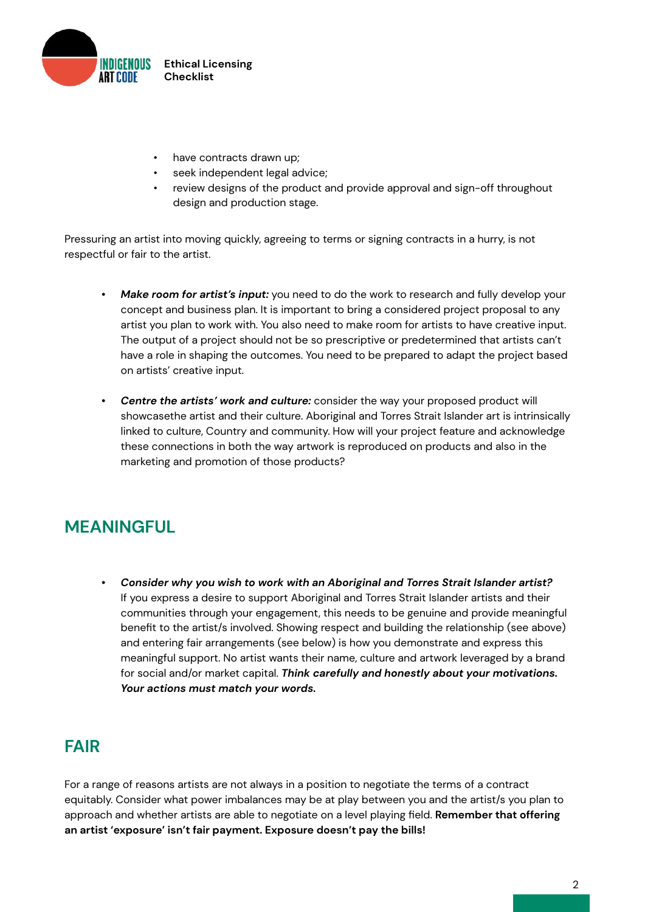

- have contracts drawn up;
- seek independent legal advice;
- review designs of the product and provide approval and sign-off throughout design and production stage.

Pressuring an artist into moving quickly, agreeing to terms or signing contracts in a hurry, is not respectful or fair to the artist.

- *• Make room for artist's input:* you need to do the work to research and fully develop your concept and business plan. It is important to bring a considered project proposal to any artist you plan to work with. You also need to make room for artists to have creative input. The output of a project should not be so prescriptive or predetermined that artists can't have a role in shaping the outcomes. You need to be prepared to adapt the project based on artists' creative input.
- *• Centre the artists' work and culture:* consider the way your proposed product will showcasethe artist and their culture. Aboriginal and Torres Strait Islander art is intrinsically linked to culture, Country and community. How will your project feature and acknowledge these connections in both the way artwork is reproduced on products and also in the marketing and promotion of those products?

# **MEANINGFUL**

*• Consider why you wish to work with an Aboriginal and Torres Strait Islander artist?*  If you express a desire to support Aboriginal and Torres Strait Islander artists and their communities through your engagement, this needs to be genuine and provide meaningful benefit to the artist/s involved. Showing respect and building the relationship (see above) and entering fair arrangements (see below) is how you demonstrate and express this meaningful support. No artist wants their name, culture and artwork leveraged by a brand for social and/or market capital. *Think carefully and honestly about your motivations. Your actions must match your words.*

## **FAIR**

For a range of reasons artists are not always in a position to negotiate the terms of a contract equitably. Consider what power imbalances may be at play between you and the artist/s you plan to approach and whether artists are able to negotiate on a level playing field. **Remember that offering an artist 'exposure' isn't fair payment. Exposure doesn't pay the bills!**